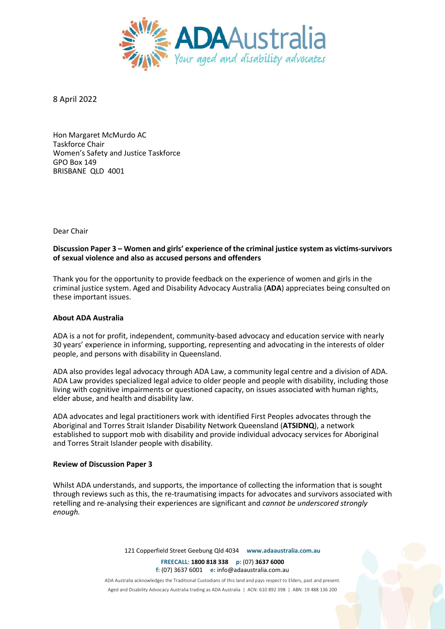

8 April 2022

Hon Margaret McMurdo AC Taskforce Chair Women's Safety and Justice Taskforce GPO Box 149 BRISBANE QLD 4001

Dear Chair

# **Discussion Paper 3 – Women and girls' experience of the criminal justice system as victims-survivors of sexual violence and also as accused persons and offenders**

Thank you for the opportunity to provide feedback on the experience of women and girls in the criminal justice system. Aged and Disability Advocacy Australia (**ADA**) appreciates being consulted on these important issues.

## **About ADA Australia**

ADA is a not for profit, independent, community-based advocacy and education service with nearly 30 years' experience in informing, supporting, representing and advocating in the interests of older people, and persons with disability in Queensland.

ADA also provides legal advocacy through ADA Law, a community legal centre and a division of ADA. ADA Law provides specialized legal advice to older people and people with disability, including those living with cognitive impairments or questioned capacity, on issues associated with human rights, elder abuse, and health and disability law.

ADA advocates and legal practitioners work with identified First Peoples advocates through the Aboriginal and Torres Strait Islander Disability Network Queensland (**ATSIDNQ**), a network established to support mob with disability and provide individual advocacy services for Aboriginal and Torres Strait Islander people with disability.

### **Review of Discussion Paper 3**

Whilst ADA understands, and supports, the importance of collecting the information that is sought through reviews such as this, the re-traumatising impacts for advocates and survivors associated with retelling and re-analysing their experiences are significant and *cannot be underscored strongly enough.*

121 Copperfield Street Geebung Qld 4034 **www.adaaustralia.com.au**

**FREECALL: 1800 818 338 p:** (07) **3637 6000 f:** (07) 3637 6001 **e:** info@adaaustralia.com.au

ADA Australia acknowledges the Traditional Custodians of this land and pays respect to Elders, past and present. Aged and Disability Advocacy Australia trading as ADA Australia | ACN: 610 892 398 | ABN: 19 488 136 200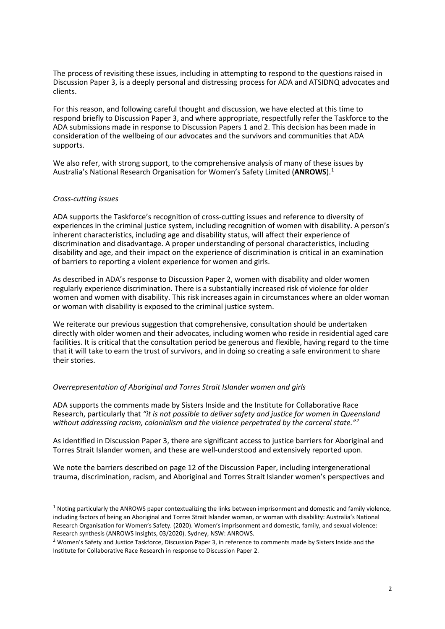The process of revisiting these issues, including in attempting to respond to the questions raised in Discussion Paper 3, is a deeply personal and distressing process for ADA and ATSIDNQ advocates and clients.

For this reason, and following careful thought and discussion, we have elected at this time to respond briefly to Discussion Paper 3, and where appropriate, respectfully refer the Taskforce to the ADA submissions made in response to Discussion Papers 1 and 2. This decision has been made in consideration of the wellbeing of our advocates and the survivors and communities that ADA supports.

We also refer, with strong support, to the comprehensive analysis of many of these issues by Australia's National Research Organisation for Women's Safety Limited (**ANROWS**).1

### *Cross-cutting issues*

ADA supports the Taskforce's recognition of cross-cutting issues and reference to diversity of experiences in the criminal justice system, including recognition of women with disability. A person's inherent characteristics, including age and disability status, will affect their experience of discrimination and disadvantage. A proper understanding of personal characteristics, including disability and age, and their impact on the experience of discrimination is critical in an examination of barriers to reporting a violent experience for women and girls.

As described in ADA's response to Discussion Paper 2, women with disability and older women regularly experience discrimination. There is a substantially increased risk of violence for older women and women with disability. This risk increases again in circumstances where an older woman or woman with disability is exposed to the criminal justice system.

We reiterate our previous suggestion that comprehensive, consultation should be undertaken directly with older women and their advocates, including women who reside in residential aged care facilities. It is critical that the consultation period be generous and flexible, having regard to the time that it will take to earn the trust of survivors, and in doing so creating a safe environment to share their stories.

### *Overrepresentation of Aboriginal and Torres Strait Islander women and girls*

ADA supports the comments made by Sisters Inside and the Institute for Collaborative Race Research, particularly that *"it is not possible to deliver safety and justice for women in Queensland without addressing racism, colonialism and the violence perpetrated by the carceral state."2*

As identified in Discussion Paper 3, there are significant access to justice barriers for Aboriginal and Torres Strait Islander women, and these are well-understood and extensively reported upon.

We note the barriers described on page 12 of the Discussion Paper, including intergenerational trauma, discrimination, racism, and Aboriginal and Torres Strait Islander women's perspectives and

 $1$  Noting particularly the ANROWS paper contextualizing the links between imprisonment and domestic and family violence, including factors of being an Aboriginal and Torres Strait Islander woman, or woman with disability: Australia's National Research Organisation for Women's Safety. (2020). Women's imprisonment and domestic, family, and sexual violence: Research synthesis (ANROWS Insights, 03/2020). Sydney, NSW: ANROWS.

<sup>&</sup>lt;sup>2</sup> Women's Safety and Justice Taskforce, Discussion Paper 3, in reference to comments made by Sisters Inside and the Institute for Collaborative Race Research in response to Discussion Paper 2.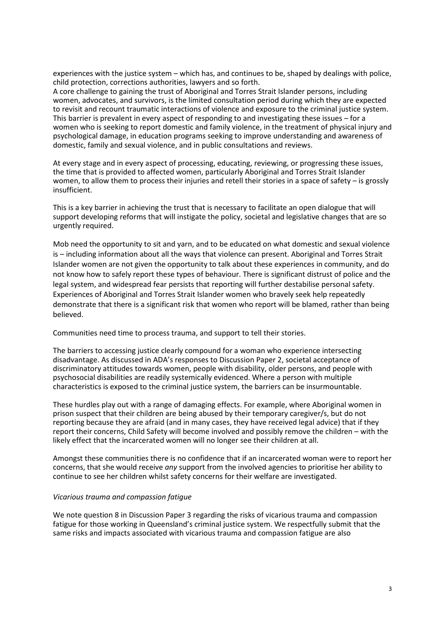experiences with the justice system – which has, and continues to be, shaped by dealings with police, child protection, corrections authorities, lawyers and so forth.

A core challenge to gaining the trust of Aboriginal and Torres Strait Islander persons, including women, advocates, and survivors, is the limited consultation period during which they are expected to revisit and recount traumatic interactions of violence and exposure to the criminal justice system. This barrier is prevalent in every aspect of responding to and investigating these issues – for a women who is seeking to report domestic and family violence, in the treatment of physical injury and psychological damage, in education programs seeking to improve understanding and awareness of domestic, family and sexual violence, and in public consultations and reviews.

At every stage and in every aspect of processing, educating, reviewing, or progressing these issues, the time that is provided to affected women, particularly Aboriginal and Torres Strait Islander women, to allow them to process their injuries and retell their stories in a space of safety – is grossly insufficient.

This is a key barrier in achieving the trust that is necessary to facilitate an open dialogue that will support developing reforms that will instigate the policy, societal and legislative changes that are so urgently required.

Mob need the opportunity to sit and yarn, and to be educated on what domestic and sexual violence is – including information about all the ways that violence can present. Aboriginal and Torres Strait Islander women are not given the opportunity to talk about these experiences in community, and do not know how to safely report these types of behaviour. There is significant distrust of police and the legal system, and widespread fear persists that reporting will further destabilise personal safety. Experiences of Aboriginal and Torres Strait Islander women who bravely seek help repeatedly demonstrate that there is a significant risk that women who report will be blamed, rather than being believed.

Communities need time to process trauma, and support to tell their stories.

The barriers to accessing justice clearly compound for a woman who experience intersecting disadvantage. As discussed in ADA's responses to Discussion Paper 2, societal acceptance of discriminatory attitudes towards women, people with disability, older persons, and people with psychosocial disabilities are readily systemically evidenced. Where a person with multiple characteristics is exposed to the criminal justice system, the barriers can be insurmountable.

These hurdles play out with a range of damaging effects. For example, where Aboriginal women in prison suspect that their children are being abused by their temporary caregiver/s, but do not reporting because they are afraid (and in many cases, they have received legal advice) that if they report their concerns, Child Safety will become involved and possibly remove the children – with the likely effect that the incarcerated women will no longer see their children at all.

Amongst these communities there is no confidence that if an incarcerated woman were to report her concerns, that she would receive *any* support from the involved agencies to prioritise her ability to continue to see her children whilst safety concerns for their welfare are investigated.

### *Vicarious trauma and compassion fatigue*

We note question 8 in Discussion Paper 3 regarding the risks of vicarious trauma and compassion fatigue for those working in Queensland's criminal justice system. We respectfully submit that the same risks and impacts associated with vicarious trauma and compassion fatigue are also